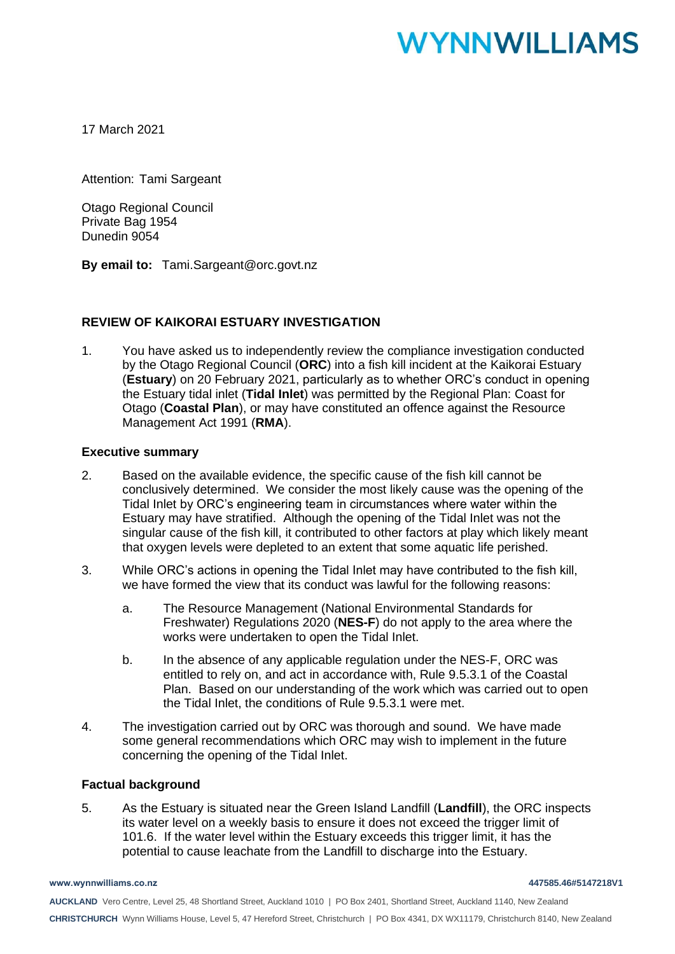# **WYNNWILLIAMS**

17 March 2021

Attention: Tami Sargeant

Otago Regional Council Private Bag 1954 Dunedin 9054

**By email to:** Tami.Sargeant@orc.govt.nz

### **REVIEW OF KAIKORAI ESTUARY INVESTIGATION**

1. You have asked us to independently review the compliance investigation conducted by the Otago Regional Council (**ORC**) into a fish kill incident at the Kaikorai Estuary (**Estuary**) on 20 February 2021, particularly as to whether ORC's conduct in opening the Estuary tidal inlet (**Tidal Inlet**) was permitted by the Regional Plan: Coast for Otago (**Coastal Plan**), or may have constituted an offence against the Resource Management Act 1991 (**RMA**).

#### **Executive summary**

- 2. Based on the available evidence, the specific cause of the fish kill cannot be conclusively determined. We consider the most likely cause was the opening of the Tidal Inlet by ORC's engineering team in circumstances where water within the Estuary may have stratified. Although the opening of the Tidal Inlet was not the singular cause of the fish kill, it contributed to other factors at play which likely meant that oxygen levels were depleted to an extent that some aquatic life perished.
- 3. While ORC's actions in opening the Tidal Inlet may have contributed to the fish kill, we have formed the view that its conduct was lawful for the following reasons:
	- a. The Resource Management (National Environmental Standards for Freshwater) Regulations 2020 (**NES-F**) do not apply to the area where the works were undertaken to open the Tidal Inlet.
	- b. In the absence of any applicable regulation under the NES-F, ORC was entitled to rely on, and act in accordance with, Rule 9.5.3.1 of the Coastal Plan. Based on our understanding of the work which was carried out to open the Tidal Inlet, the conditions of Rule 9.5.3.1 were met.
- 4. The investigation carried out by ORC was thorough and sound. We have made some general recommendations which ORC may wish to implement in the future concerning the opening of the Tidal Inlet.

#### **Factual background**

5. As the Estuary is situated near the Green Island Landfill (**Landfill**), the ORC inspects its water level on a weekly basis to ensure it does not exceed the trigger limit of 101.6. If the water level within the Estuary exceeds this trigger limit, it has the potential to cause leachate from the Landfill to discharge into the Estuary.

**AUCKLAND** Vero Centre, Level 25, 48 Shortland Street, Auckland 1010 | PO Box 2401, Shortland Street, Auckland 1140, New Zealand **CHRISTCHURCH** Wynn Williams House, Level 5, 47 Hereford Street, Christchurch | PO Box 4341, DX WX11179, Christchurch 8140, New Zealand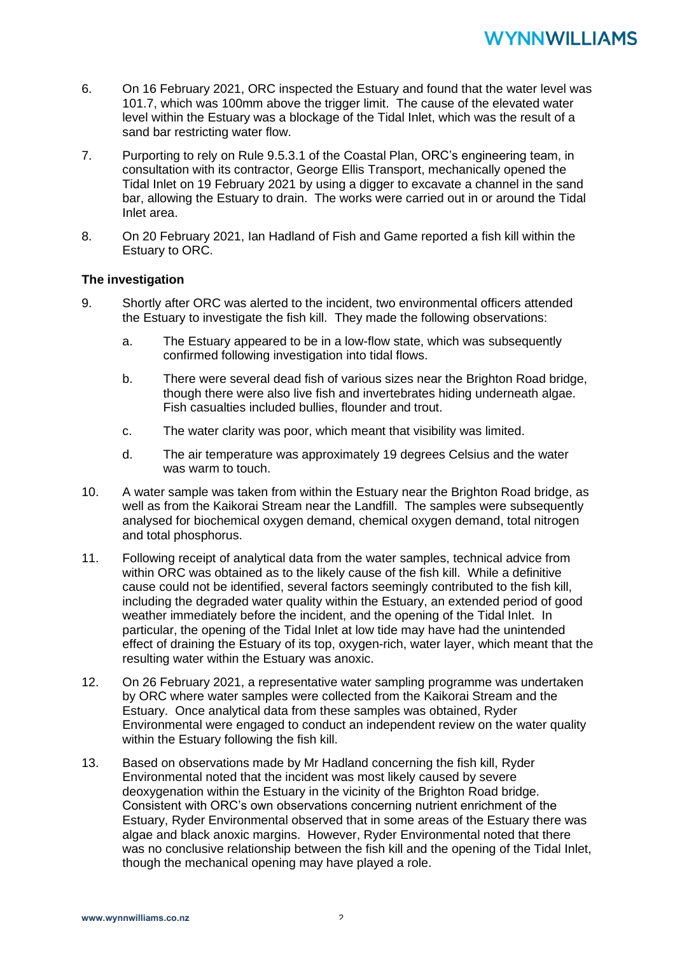- 6. On 16 February 2021, ORC inspected the Estuary and found that the water level was 101.7, which was 100mm above the trigger limit. The cause of the elevated water level within the Estuary was a blockage of the Tidal Inlet, which was the result of a sand bar restricting water flow.
- 7. Purporting to rely on Rule 9.5.3.1 of the Coastal Plan, ORC's engineering team, in consultation with its contractor, George Ellis Transport, mechanically opened the Tidal Inlet on 19 February 2021 by using a digger to excavate a channel in the sand bar, allowing the Estuary to drain. The works were carried out in or around the Tidal Inlet area.
- 8. On 20 February 2021, Ian Hadland of Fish and Game reported a fish kill within the Estuary to ORC.

### **The investigation**

- 9. Shortly after ORC was alerted to the incident, two environmental officers attended the Estuary to investigate the fish kill. They made the following observations:
	- a. The Estuary appeared to be in a low-flow state, which was subsequently confirmed following investigation into tidal flows.
	- b. There were several dead fish of various sizes near the Brighton Road bridge, though there were also live fish and invertebrates hiding underneath algae. Fish casualties included bullies, flounder and trout.
	- c. The water clarity was poor, which meant that visibility was limited.
	- d. The air temperature was approximately 19 degrees Celsius and the water was warm to touch.
- 10. A water sample was taken from within the Estuary near the Brighton Road bridge, as well as from the Kaikorai Stream near the Landfill. The samples were subsequently analysed for biochemical oxygen demand, chemical oxygen demand, total nitrogen and total phosphorus.
- 11. Following receipt of analytical data from the water samples, technical advice from within ORC was obtained as to the likely cause of the fish kill. While a definitive cause could not be identified, several factors seemingly contributed to the fish kill, including the degraded water quality within the Estuary, an extended period of good weather immediately before the incident, and the opening of the Tidal Inlet. In particular, the opening of the Tidal Inlet at low tide may have had the unintended effect of draining the Estuary of its top, oxygen-rich, water layer, which meant that the resulting water within the Estuary was anoxic.
- 12. On 26 February 2021, a representative water sampling programme was undertaken by ORC where water samples were collected from the Kaikorai Stream and the Estuary. Once analytical data from these samples was obtained, Ryder Environmental were engaged to conduct an independent review on the water quality within the Estuary following the fish kill.
- 13. Based on observations made by Mr Hadland concerning the fish kill, Ryder Environmental noted that the incident was most likely caused by severe deoxygenation within the Estuary in the vicinity of the Brighton Road bridge. Consistent with ORC's own observations concerning nutrient enrichment of the Estuary, Ryder Environmental observed that in some areas of the Estuary there was algae and black anoxic margins. However, Ryder Environmental noted that there was no conclusive relationship between the fish kill and the opening of the Tidal Inlet, though the mechanical opening may have played a role.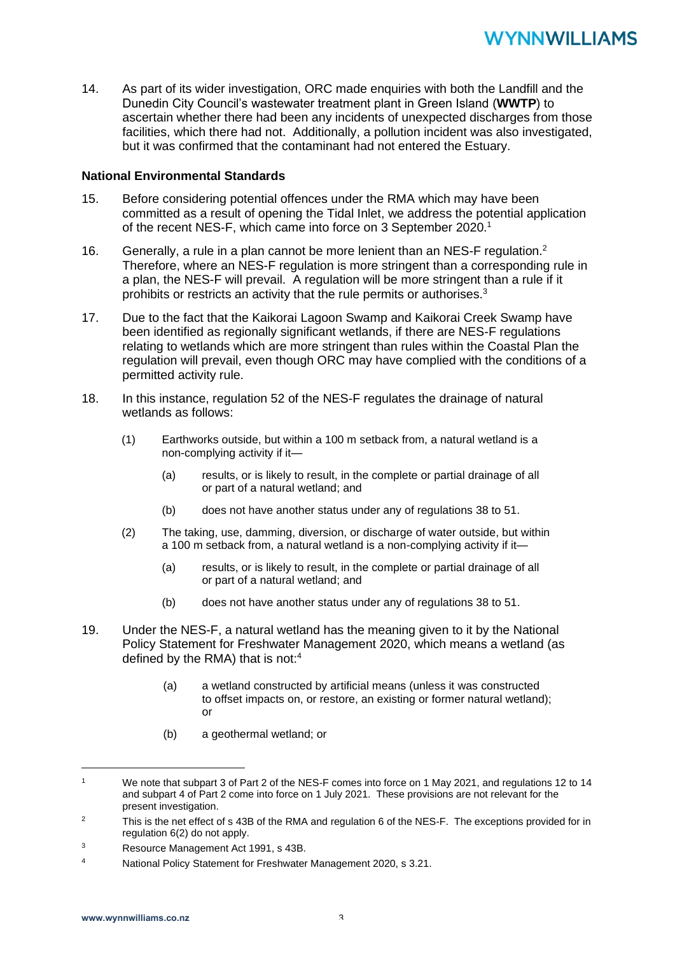14. As part of its wider investigation, ORC made enquiries with both the Landfill and the Dunedin City Council's wastewater treatment plant in Green Island (**WWTP**) to ascertain whether there had been any incidents of unexpected discharges from those facilities, which there had not. Additionally, a pollution incident was also investigated, but it was confirmed that the contaminant had not entered the Estuary.

### **National Environmental Standards**

- 15. Before considering potential offences under the RMA which may have been committed as a result of opening the Tidal Inlet, we address the potential application of the recent NES-F, which came into force on 3 September 2020.<sup>1</sup>
- 16. Generally, a rule in a plan cannot be more lenient than an NES-F regulation.<sup>2</sup> Therefore, where an NES-F regulation is more stringent than a corresponding rule in a plan, the NES-F will prevail. A regulation will be more stringent than a rule if it prohibits or restricts an activity that the rule permits or authorises.<sup>3</sup>
- 17. Due to the fact that the Kaikorai Lagoon Swamp and Kaikorai Creek Swamp have been identified as regionally significant wetlands, if there are NES-F regulations relating to wetlands which are more stringent than rules within the Coastal Plan the regulation will prevail, even though ORC may have complied with the conditions of a permitted activity rule.
- 18. In this instance, regulation 52 of the NES-F regulates the drainage of natural wetlands as follows:
	- (1) Earthworks outside, but within a 100 m setback from, a natural wetland is a non-complying activity if it—
		- (a) results, or is likely to result, in the complete or partial drainage of all or part of a natural wetland; and
		- (b) does not have another status under any of regulations 38 to 51.
	- (2) The taking, use, damming, diversion, or discharge of water outside, but within a 100 m setback from, a natural wetland is a non-complying activity if it—
		- (a) results, or is likely to result, in the complete or partial drainage of all or part of a natural wetland; and
		- (b) does not have another status under any of regulations 38 to 51.
- 19. Under the NES-F, a natural wetland has the meaning given to it by the National Policy Statement for Freshwater Management 2020, which means a wetland (as defined by the RMA) that is not:<sup>4</sup>
	- (a) a wetland constructed by artificial means (unless it was constructed to offset impacts on, or restore, an existing or former natural wetland); or
	- (b) a geothermal wetland; or

<sup>1</sup> We note that subpart 3 of Part 2 of the NES-F comes into force on 1 May 2021, and regulations 12 to 14 and subpart 4 of Part 2 come into force on 1 July 2021. These provisions are not relevant for the present investigation.

<sup>&</sup>lt;sup>2</sup> This is the net effect of s 43B of the RMA and regulation 6 of the NES-F. The exceptions provided for in regulation 6(2) do not apply.

<sup>3</sup> Resource Management Act 1991, s 43B.

<sup>4</sup> National Policy Statement for Freshwater Management 2020, s 3.21.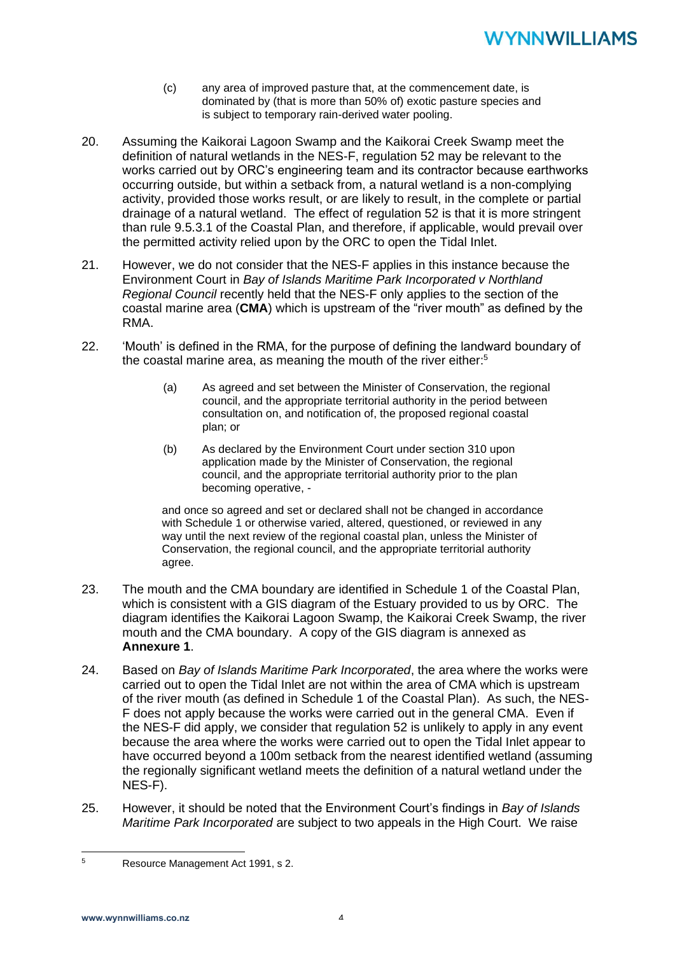## **YNNWILLIAMS**

- (c) any area of improved pasture that, at the commencement date, is dominated by (that is more than 50% of) exotic pasture species and is subject to temporary rain-derived water pooling.
- 20. Assuming the Kaikorai Lagoon Swamp and the Kaikorai Creek Swamp meet the definition of natural wetlands in the NES-F, regulation 52 may be relevant to the works carried out by ORC's engineering team and its contractor because earthworks occurring outside, but within a setback from, a natural wetland is a non-complying activity, provided those works result, or are likely to result, in the complete or partial drainage of a natural wetland. The effect of regulation 52 is that it is more stringent than rule 9.5.3.1 of the Coastal Plan, and therefore, if applicable, would prevail over the permitted activity relied upon by the ORC to open the Tidal Inlet.
- 21. However, we do not consider that the NES-F applies in this instance because the Environment Court in *Bay of Islands Maritime Park Incorporated v Northland Regional Council* recently held that the NES-F only applies to the section of the coastal marine area (**CMA**) which is upstream of the "river mouth" as defined by the RMA.
- 22. 'Mouth' is defined in the RMA, for the purpose of defining the landward boundary of the coastal marine area, as meaning the mouth of the river either:<sup>5</sup>
	- (a) As agreed and set between the Minister of Conservation, the regional council, and the appropriate territorial authority in the period between consultation on, and notification of, the proposed regional coastal plan; or
	- (b) As declared by the Environment Court under section 310 upon application made by the Minister of Conservation, the regional council, and the appropriate territorial authority prior to the plan becoming operative, -

and once so agreed and set or declared shall not be changed in accordance with Schedule 1 or otherwise varied, altered, questioned, or reviewed in any way until the next review of the regional coastal plan, unless the Minister of Conservation, the regional council, and the appropriate territorial authority agree.

- 23. The mouth and the CMA boundary are identified in Schedule 1 of the Coastal Plan, which is consistent with a GIS diagram of the Estuary provided to us by ORC. The diagram identifies the Kaikorai Lagoon Swamp, the Kaikorai Creek Swamp, the river mouth and the CMA boundary. A copy of the GIS diagram is annexed as **Annexure 1**.
- 24. Based on *Bay of Islands Maritime Park Incorporated*, the area where the works were carried out to open the Tidal Inlet are not within the area of CMA which is upstream of the river mouth (as defined in Schedule 1 of the Coastal Plan). As such, the NES-F does not apply because the works were carried out in the general CMA. Even if the NES-F did apply, we consider that regulation 52 is unlikely to apply in any event because the area where the works were carried out to open the Tidal Inlet appear to have occurred beyond a 100m setback from the nearest identified wetland (assuming the regionally significant wetland meets the definition of a natural wetland under the NES-F).
- 25. However, it should be noted that the Environment Court's findings in *Bay of Islands Maritime Park Incorporated* are subject to two appeals in the High Court. We raise

<sup>5</sup> Resource Management Act 1991, s 2.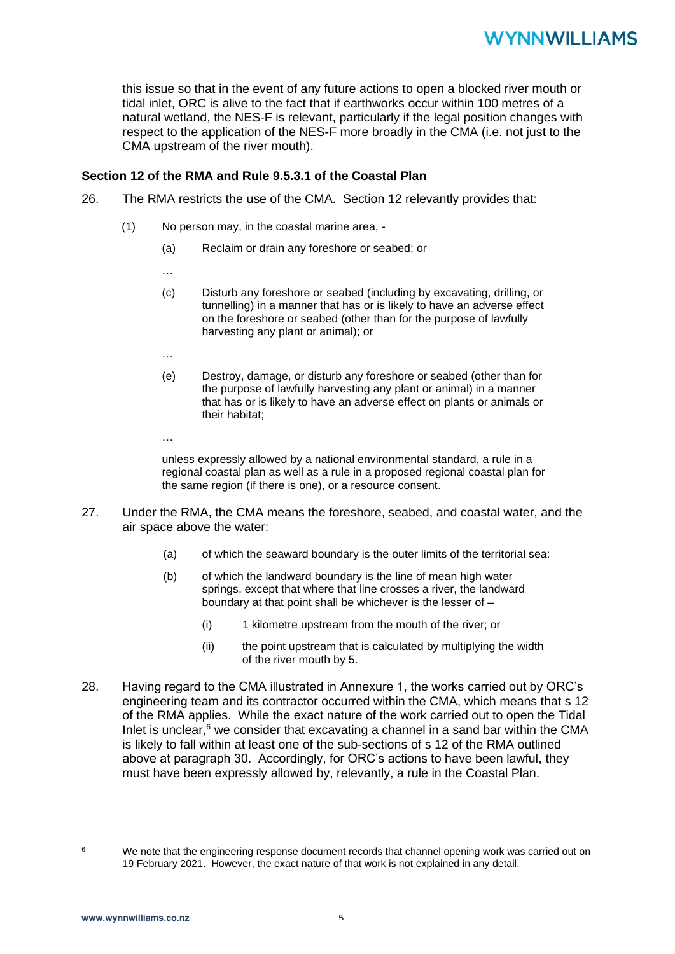this issue so that in the event of any future actions to open a blocked river mouth or tidal inlet, ORC is alive to the fact that if earthworks occur within 100 metres of a natural wetland, the NES-F is relevant, particularly if the legal position changes with respect to the application of the NES-F more broadly in the CMA (i.e. not just to the CMA upstream of the river mouth).

### **Section 12 of the RMA and Rule 9.5.3.1 of the Coastal Plan**

- 26. The RMA restricts the use of the CMA. Section 12 relevantly provides that:
	- (1) No person may, in the coastal marine area,
		- (a) Reclaim or drain any foreshore or seabed; or
		- …
		- (c) Disturb any foreshore or seabed (including by excavating, drilling, or tunnelling) in a manner that has or is likely to have an adverse effect on the foreshore or seabed (other than for the purpose of lawfully harvesting any plant or animal); or
		- …

…

- (e) Destroy, damage, or disturb any foreshore or seabed (other than for the purpose of lawfully harvesting any plant or animal) in a manner that has or is likely to have an adverse effect on plants or animals or their habitat;
- unless expressly allowed by a national environmental standard, a rule in a regional coastal plan as well as a rule in a proposed regional coastal plan for the same region (if there is one), or a resource consent.
- 27. Under the RMA, the CMA means the foreshore, seabed, and coastal water, and the air space above the water:
	- (a) of which the seaward boundary is the outer limits of the territorial sea:
	- (b) of which the landward boundary is the line of mean high water springs, except that where that line crosses a river, the landward boundary at that point shall be whichever is the lesser of –
		- (i) 1 kilometre upstream from the mouth of the river; or
		- (ii) the point upstream that is calculated by multiplying the width of the river mouth by 5.
- 28. Having regard to the CMA illustrated in Annexure 1, the works carried out by ORC's engineering team and its contractor occurred within the CMA, which means that s 12 of the RMA applies. While the exact nature of the work carried out to open the Tidal Inlet is unclear, $6$  we consider that excavating a channel in a sand bar within the CMA is likely to fall within at least one of the sub-sections of s 12 of the RMA outlined above at paragraph 30. Accordingly, for ORC's actions to have been lawful, they must have been expressly allowed by, relevantly, a rule in the Coastal Plan.

<sup>&</sup>lt;sup>6</sup> We note that the engineering response document records that channel opening work was carried out on 19 February 2021. However, the exact nature of that work is not explained in any detail.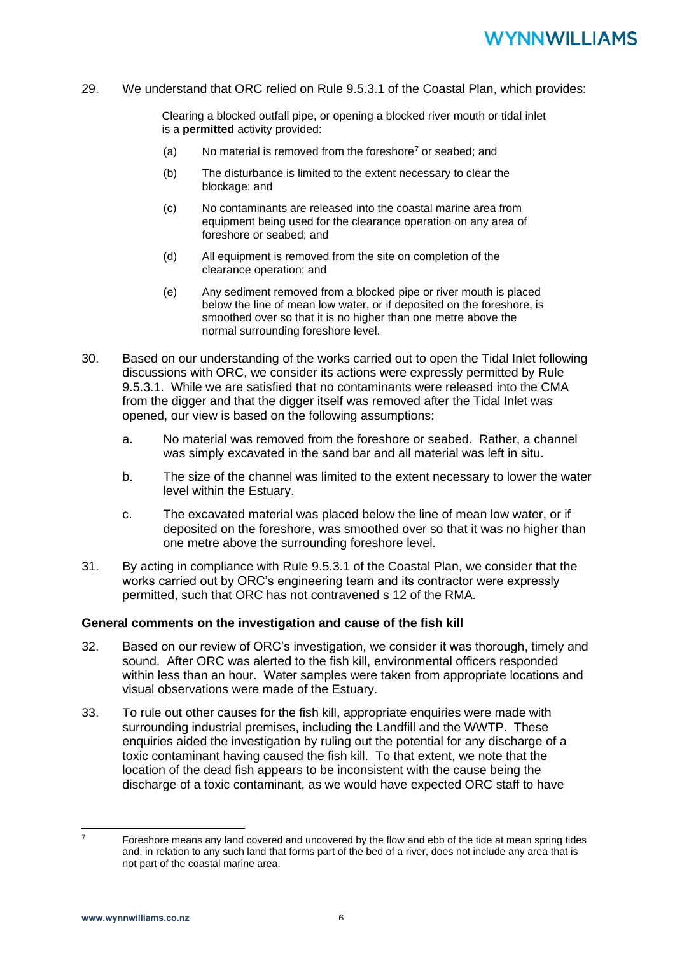## **YNNWILLIAMS**

29. We understand that ORC relied on Rule 9.5.3.1 of the Coastal Plan, which provides:

Clearing a blocked outfall pipe, or opening a blocked river mouth or tidal inlet is a **permitted** activity provided:

- (a) No material is removed from the foreshore<sup>7</sup> or seabed; and
- (b) The disturbance is limited to the extent necessary to clear the blockage; and
- (c) No contaminants are released into the coastal marine area from equipment being used for the clearance operation on any area of foreshore or seabed; and
- (d) All equipment is removed from the site on completion of the clearance operation; and
- (e) Any sediment removed from a blocked pipe or river mouth is placed below the line of mean low water, or if deposited on the foreshore, is smoothed over so that it is no higher than one metre above the normal surrounding foreshore level.
- 30. Based on our understanding of the works carried out to open the Tidal Inlet following discussions with ORC, we consider its actions were expressly permitted by Rule 9.5.3.1. While we are satisfied that no contaminants were released into the CMA from the digger and that the digger itself was removed after the Tidal Inlet was opened, our view is based on the following assumptions:
	- a. No material was removed from the foreshore or seabed. Rather, a channel was simply excavated in the sand bar and all material was left in situ.
	- b. The size of the channel was limited to the extent necessary to lower the water level within the Estuary.
	- c. The excavated material was placed below the line of mean low water, or if deposited on the foreshore, was smoothed over so that it was no higher than one metre above the surrounding foreshore level.
- 31. By acting in compliance with Rule 9.5.3.1 of the Coastal Plan, we consider that the works carried out by ORC's engineering team and its contractor were expressly permitted, such that ORC has not contravened s 12 of the RMA.

#### **General comments on the investigation and cause of the fish kill**

- 32. Based on our review of ORC's investigation, we consider it was thorough, timely and sound. After ORC was alerted to the fish kill, environmental officers responded within less than an hour. Water samples were taken from appropriate locations and visual observations were made of the Estuary.
- 33. To rule out other causes for the fish kill, appropriate enquiries were made with surrounding industrial premises, including the Landfill and the WWTP. These enquiries aided the investigation by ruling out the potential for any discharge of a toxic contaminant having caused the fish kill. To that extent, we note that the location of the dead fish appears to be inconsistent with the cause being the discharge of a toxic contaminant, as we would have expected ORC staff to have

<sup>7</sup> Foreshore means any land covered and uncovered by the flow and ebb of the tide at mean spring tides and, in relation to any such land that forms part of the bed of a river, does not include any area that is not part of the coastal marine area.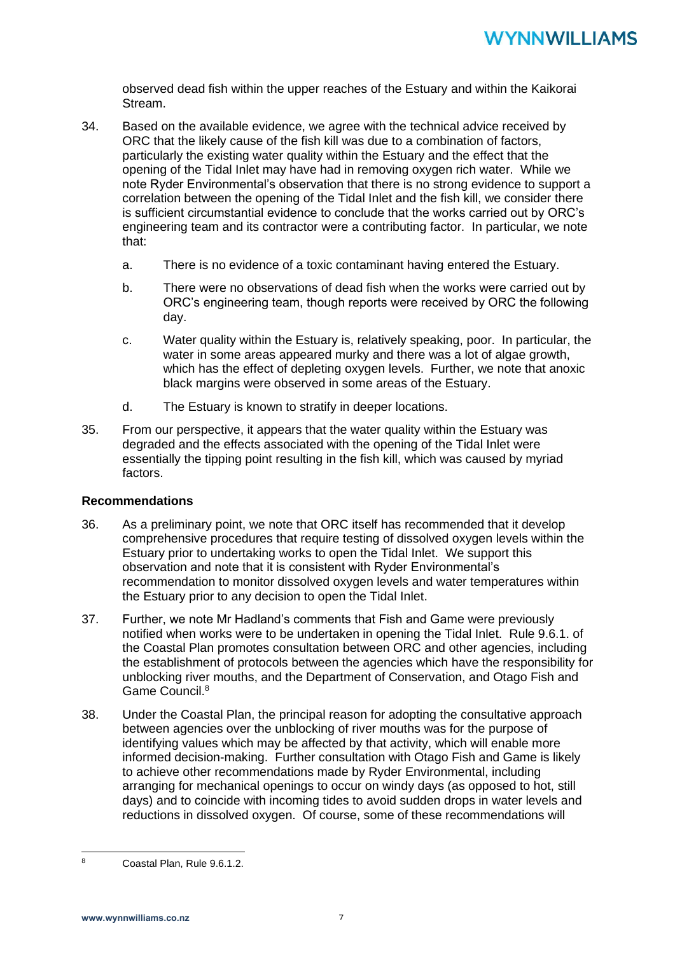observed dead fish within the upper reaches of the Estuary and within the Kaikorai Stream.

- 34. Based on the available evidence, we agree with the technical advice received by ORC that the likely cause of the fish kill was due to a combination of factors, particularly the existing water quality within the Estuary and the effect that the opening of the Tidal Inlet may have had in removing oxygen rich water. While we note Ryder Environmental's observation that there is no strong evidence to support a correlation between the opening of the Tidal Inlet and the fish kill, we consider there is sufficient circumstantial evidence to conclude that the works carried out by ORC's engineering team and its contractor were a contributing factor. In particular, we note that:
	- a. There is no evidence of a toxic contaminant having entered the Estuary.
	- b. There were no observations of dead fish when the works were carried out by ORC's engineering team, though reports were received by ORC the following day.
	- c. Water quality within the Estuary is, relatively speaking, poor. In particular, the water in some areas appeared murky and there was a lot of algae growth. which has the effect of depleting oxygen levels. Further, we note that anoxic black margins were observed in some areas of the Estuary.
	- d. The Estuary is known to stratify in deeper locations.
- 35. From our perspective, it appears that the water quality within the Estuary was degraded and the effects associated with the opening of the Tidal Inlet were essentially the tipping point resulting in the fish kill, which was caused by myriad factors.

### **Recommendations**

- 36. As a preliminary point, we note that ORC itself has recommended that it develop comprehensive procedures that require testing of dissolved oxygen levels within the Estuary prior to undertaking works to open the Tidal Inlet. We support this observation and note that it is consistent with Ryder Environmental's recommendation to monitor dissolved oxygen levels and water temperatures within the Estuary prior to any decision to open the Tidal Inlet.
- 37. Further, we note Mr Hadland's comments that Fish and Game were previously notified when works were to be undertaken in opening the Tidal Inlet. Rule 9.6.1. of the Coastal Plan promotes consultation between ORC and other agencies, including the establishment of protocols between the agencies which have the responsibility for unblocking river mouths, and the Department of Conservation, and Otago Fish and Game Council.<sup>8</sup>
- 38. Under the Coastal Plan, the principal reason for adopting the consultative approach between agencies over the unblocking of river mouths was for the purpose of identifying values which may be affected by that activity, which will enable more informed decision-making. Further consultation with Otago Fish and Game is likely to achieve other recommendations made by Ryder Environmental, including arranging for mechanical openings to occur on windy days (as opposed to hot, still days) and to coincide with incoming tides to avoid sudden drops in water levels and reductions in dissolved oxygen. Of course, some of these recommendations will

<sup>8</sup> Coastal Plan, Rule 9.6.1.2.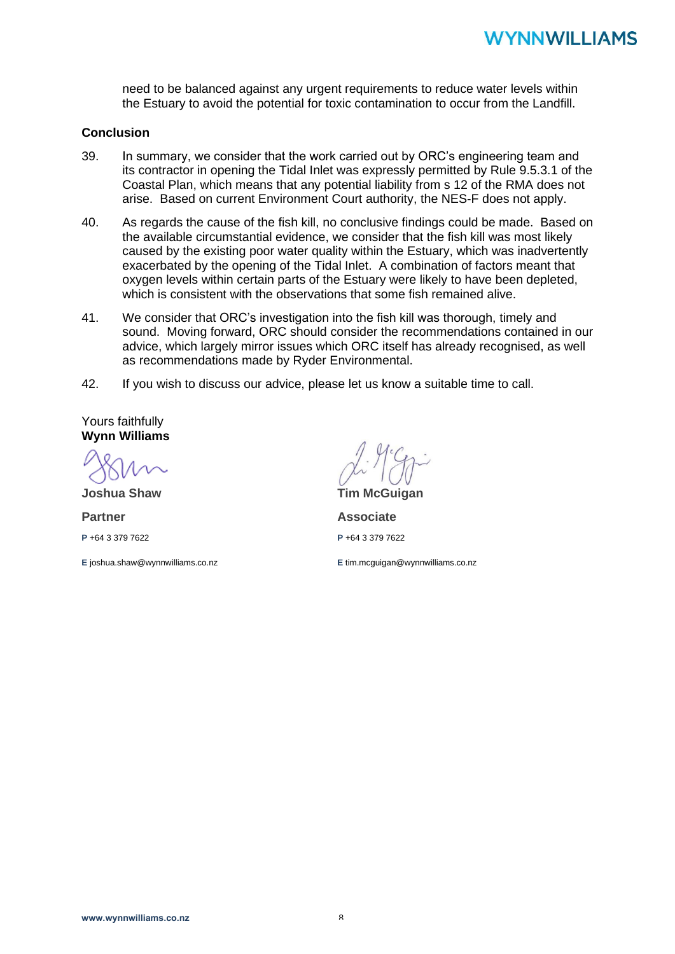need to be balanced against any urgent requirements to reduce water levels within the Estuary to avoid the potential for toxic contamination to occur from the Landfill.

### **Conclusion**

- 39. In summary, we consider that the work carried out by ORC's engineering team and its contractor in opening the Tidal Inlet was expressly permitted by Rule 9.5.3.1 of the Coastal Plan, which means that any potential liability from s 12 of the RMA does not arise. Based on current Environment Court authority, the NES-F does not apply.
- 40. As regards the cause of the fish kill, no conclusive findings could be made. Based on the available circumstantial evidence, we consider that the fish kill was most likely caused by the existing poor water quality within the Estuary, which was inadvertently exacerbated by the opening of the Tidal Inlet. A combination of factors meant that oxygen levels within certain parts of the Estuary were likely to have been depleted, which is consistent with the observations that some fish remained alive.
- 41. We consider that ORC's investigation into the fish kill was thorough, timely and sound. Moving forward, ORC should consider the recommendations contained in our advice, which largely mirror issues which ORC itself has already recognised, as well as recommendations made by Ryder Environmental.
- 42. If you wish to discuss our advice, please let us know a suitable time to call.

Yours faithfully **Wynn Williams**

**Joshua Shaw**

**Partner**

**P** +64 3 379 7622

**E** joshua.shaw@wynnwilliams.co.nz

**Tim McGuigan Associate P** +64 3 379 7622

**E** tim.mcguigan@wynnwilliams.co.nz